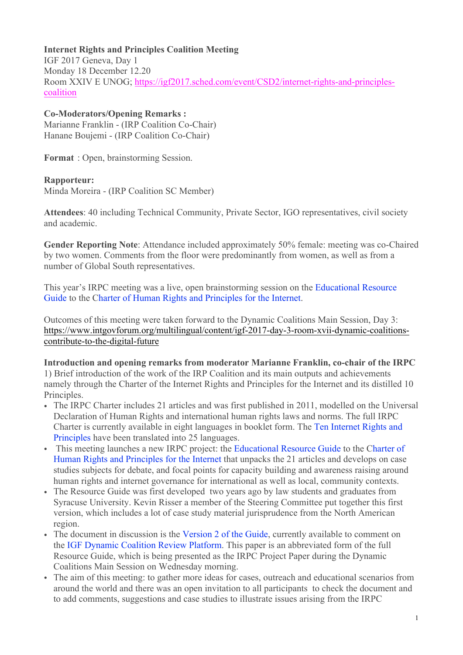#### **Internet Rights and Principles Coalition Meeting**

IGF 2017 Geneva, Day 1 Monday 18 December 12.20 Room XXIV E UNOG; https://igf2017.sched.com/event/CSD2/internet-rights-and-principlescoalition

#### **Co-Moderators/Opening Remarks :**

Marianne Franklin - (IRP Coalition Co-Chair) Hanane Boujemi - (IRP Coalition Co-Chair)

**Format** : Open, brainstorming Session.

### **Rapporteur:**

Minda Moreira - (IRP Coalition SC Member)

**Attendees**: 40 including Technical Community, Private Sector, IGO representatives, civil society and academic.

**Gender Reporting Note**: Attendance included approximately 50% female: meeting was co-Chaired by two women. Comments from the floor were predominantly from women, as well as from a number of Global South representatives.

This year's IRPC meeting was a live, open brainstorming session on the Educational Resource Guide to the Charter of Human Rights and Principles for the Internet.

Outcomes of this meeting were taken forward to the Dynamic Coalitions Main Session, Day 3: https://www.intgovforum.org/multilingual/content/igf-2017-day-3-room-xvii-dynamic-coalitionscontribute-to-the-digital-future

#### **Introduction and opening remarks from moderator Marianne Franklin, co-chair of the IRPC**

1) Brief introduction of the work of the IRP Coalition and its main outputs and achievements namely through the Charter of the Internet Rights and Principles for the Internet and its distilled 10 Principles.

- The IRPC Charter includes 21 articles and was first published in 2011, modelled on the Universal Declaration of Human Rights and international human rights laws and norms. The full IRPC Charter is currently available in eight languages in booklet form. The Ten Internet Rights and Principles have been translated into 25 languages.
- This meeting launches a new IRPC project: the Educational Resource Guide to the Charter of Human Rights and Principles for the Internet that unpacks the 21 articles and develops on case studies subjects for debate, and focal points for capacity building and awareness raising around human rights and internet governance for international as well as local, community contexts.
- The Resource Guide was first developed two years ago by law students and graduates from Syracuse University. Kevin Risser a member of the Steering Committee put together this first version, which includes a lot of case study material jurisprudence from the North American region.
- The document in discussion is the Version 2 of the Guide, currently available to comment on the IGF Dynamic Coalition Review Platform. This paper is an abbreviated form of the full Resource Guide, which is being presented as the IRPC Project Paper during the Dynamic Coalitions Main Session on Wednesday morning.
- The aim of this meeting: to gather more ideas for cases, outreach and educational scenarios from around the world and there was an open invitation to all participants to check the document and to add comments, suggestions and case studies to illustrate issues arising from the IRPC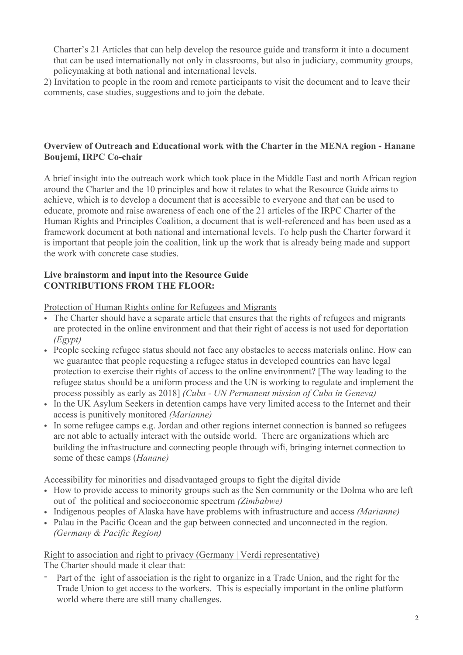Charter's 21 Articles that can help develop the resource guide and transform it into a document that can be used internationally not only in classrooms, but also in judiciary, community groups, policymaking at both national and international levels.

2) Invitation to people in the room and remote participants to visit the document and to leave their comments, case studies, suggestions and to join the debate.

#### **Overview of Outreach and Educational work with the Charter in the MENA region - Hanane Boujemi, IRPC Co-chair**

A brief insight into the outreach work which took place in the Middle East and north African region around the Charter and the 10 principles and how it relates to what the Resource Guide aims to achieve, which is to develop a document that is accessible to everyone and that can be used to educate, promote and raise awareness of each one of the 21 articles of the IRPC Charter of the Human Rights and Principles Coalition, a document that is well-referenced and has been used as a framework document at both national and international levels. To help push the Charter forward it is important that people join the coalition, link up the work that is already being made and support the work with concrete case studies.

### **Live brainstorm and input into the Resource Guide CONTRIBUTIONS FROM THE FLOOR:**

Protection of Human Rights online for Refugees and Migrants

- The Charter should have a separate article that ensures that the rights of refugees and migrants are protected in the online environment and that their right of access is not used for deportation *(Egypt)*
- People seeking refugee status should not face any obstacles to access materials online. How can we guarantee that people requesting a refugee status in developed countries can have legal protection to exercise their rights of access to the online environment? [The way leading to the refugee status should be a uniform process and the UN is working to regulate and implement the process possibly as early as 2018] *(Cuba - UN Permanent mission of Cuba in Geneva)*
- In the UK Asylum Seekers in detention camps have very limited access to the Internet and their access is punitively monitored *(Marianne)*
- In some refugee camps e.g. Jordan and other regions internet connection is banned so refugees are not able to actually interact with the outside world. There are organizations which are building the infrastructure and connecting people through wifi, bringing internet connection to some of these camps (*Hanane)*

Accessibility for minorities and disadvantaged groups to fight the digital divide

- How to provide access to minority groups such as the Sen community or the Dolma who are left out of the political and socioeconomic spectrum *(Zimbabwe)*
- Indigenous peoples of Alaska have have problems with infrastructure and access *(Marianne)*
- Palau in the Pacific Ocean and the gap between connected and unconnected in the region. *(Germany & Pacific Region)*

#### Right to association and right to privacy (Germany | Verdi representative)

The Charter should made it clear that:

- Part of the ight of association is the right to organize in a Trade Union, and the right for the Trade Union to get access to the workers. This is especially important in the online platform world where there are still many challenges.